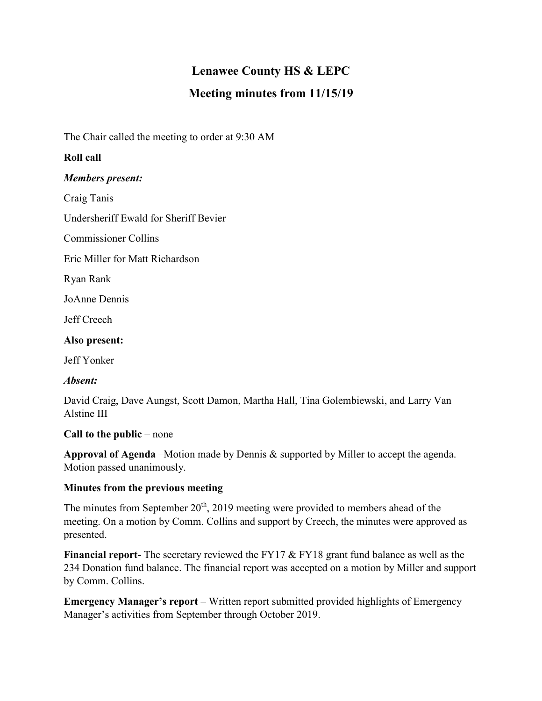# **Lenawee County HS & LEPC**

# **Meeting minutes from 11/15/19**

The Chair called the meeting to order at 9:30 AM

## **Roll call**

#### *Members present:*

Craig Tanis

Undersheriff Ewald for Sheriff Bevier

Commissioner Collins

Eric Miller for Matt Richardson

Ryan Rank

JoAnne Dennis

Jeff Creech

#### **Also present:**

Jeff Yonker

## *Absent:*

David Craig, Dave Aungst, Scott Damon, Martha Hall, Tina Golembiewski, and Larry Van Alstine III

## **Call to the public** – none

**Approval of Agenda** –Motion made by Dennis & supported by Miller to accept the agenda. Motion passed unanimously.

## **Minutes from the previous meeting**

The minutes from September  $20<sup>th</sup>$ , 2019 meeting were provided to members ahead of the meeting. On a motion by Comm. Collins and support by Creech, the minutes were approved as presented.

**Financial report-** The secretary reviewed the FY17 & FY18 grant fund balance as well as the 234 Donation fund balance. The financial report was accepted on a motion by Miller and support by Comm. Collins.

**Emergency Manager's report** – Written report submitted provided highlights of Emergency Manager's activities from September through October 2019.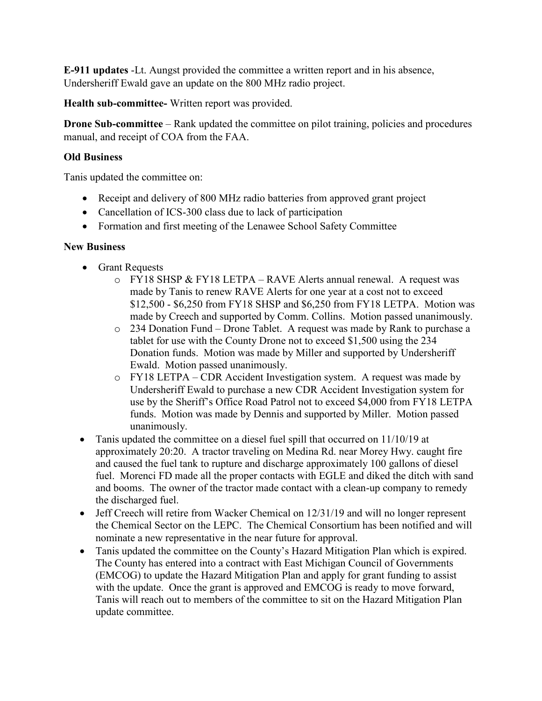**E-911 updates** -Lt. Aungst provided the committee a written report and in his absence, Undersheriff Ewald gave an update on the 800 MHz radio project.

**Health sub-committee-** Written report was provided.

**Drone Sub-committee** – Rank updated the committee on pilot training, policies and procedures manual, and receipt of COA from the FAA.

#### **Old Business**

Tanis updated the committee on:

- Receipt and delivery of 800 MHz radio batteries from approved grant project
- Cancellation of ICS-300 class due to lack of participation
- Formation and first meeting of the Lenawee School Safety Committee

#### **New Business**

- Grant Requests
	- o FY18 SHSP & FY18 LETPA RAVE Alerts annual renewal. A request was made by Tanis to renew RAVE Alerts for one year at a cost not to exceed \$12,500 - \$6,250 from FY18 SHSP and \$6,250 from FY18 LETPA. Motion was made by Creech and supported by Comm. Collins. Motion passed unanimously.
	- o 234 Donation Fund Drone Tablet. A request was made by Rank to purchase a tablet for use with the County Drone not to exceed \$1,500 using the 234 Donation funds. Motion was made by Miller and supported by Undersheriff Ewald. Motion passed unanimously.
	- o FY18 LETPA CDR Accident Investigation system. A request was made by Undersheriff Ewald to purchase a new CDR Accident Investigation system for use by the Sheriff's Office Road Patrol not to exceed \$4,000 from FY18 LETPA funds. Motion was made by Dennis and supported by Miller. Motion passed unanimously.
- Tanis updated the committee on a diesel fuel spill that occurred on 11/10/19 at approximately 20:20. A tractor traveling on Medina Rd. near Morey Hwy. caught fire and caused the fuel tank to rupture and discharge approximately 100 gallons of diesel fuel. Morenci FD made all the proper contacts with EGLE and diked the ditch with sand and booms. The owner of the tractor made contact with a clean-up company to remedy the discharged fuel.
- Jeff Creech will retire from Wacker Chemical on 12/31/19 and will no longer represent the Chemical Sector on the LEPC. The Chemical Consortium has been notified and will nominate a new representative in the near future for approval.
- Tanis updated the committee on the County's Hazard Mitigation Plan which is expired. The County has entered into a contract with East Michigan Council of Governments (EMCOG) to update the Hazard Mitigation Plan and apply for grant funding to assist with the update. Once the grant is approved and EMCOG is ready to move forward, Tanis will reach out to members of the committee to sit on the Hazard Mitigation Plan update committee.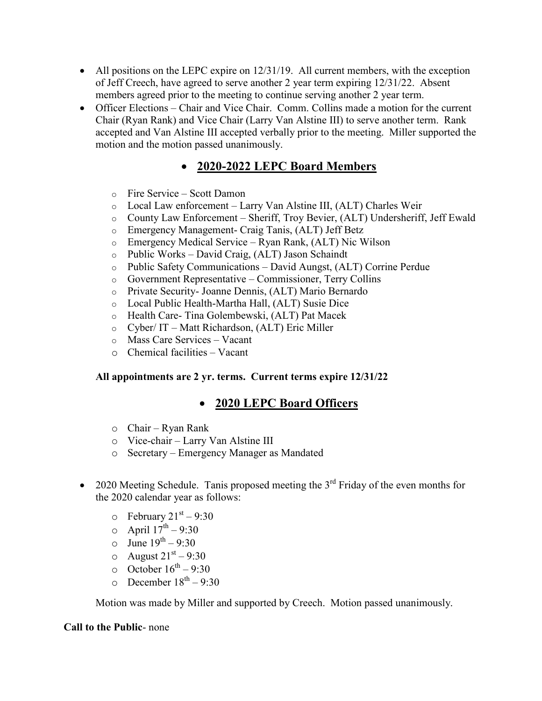- All positions on the LEPC expire on 12/31/19. All current members, with the exception of Jeff Creech, have agreed to serve another 2 year term expiring 12/31/22. Absent members agreed prior to the meeting to continue serving another 2 year term.
- Officer Elections Chair and Vice Chair. Comm. Collins made a motion for the current Chair (Ryan Rank) and Vice Chair (Larry Van Alstine III) to serve another term. Rank accepted and Van Alstine III accepted verbally prior to the meeting. Miller supported the motion and the motion passed unanimously.

# **2020-2022 LEPC Board Members**

- o Fire Service Scott Damon
- o Local Law enforcement Larry Van Alstine III, (ALT) Charles Weir
- o County Law Enforcement Sheriff, Troy Bevier, (ALT) Undersheriff, Jeff Ewald
- o Emergency Management- Craig Tanis, (ALT) Jeff Betz
- o Emergency Medical Service Ryan Rank, (ALT) Nic Wilson
- o Public Works David Craig, (ALT) Jason Schaindt
- o Public Safety Communications David Aungst, (ALT) Corrine Perdue
- o Government Representative Commissioner, Terry Collins
- o Private Security- Joanne Dennis, (ALT) Mario Bernardo
- o Local Public Health-Martha Hall, (ALT) Susie Dice
- o Health Care- Tina Golembewski, (ALT) Pat Macek
- o Cyber/ IT Matt Richardson, (ALT) Eric Miller
- o Mass Care Services Vacant
- o Chemical facilities Vacant

#### **All appointments are 2 yr. terms. Current terms expire 12/31/22**

## **2020 LEPC Board Officers**

- o Chair Ryan Rank
- o Vice-chair Larry Van Alstine III
- o Secretary Emergency Manager as Mandated
- 2020 Meeting Schedule. Tanis proposed meeting the  $3<sup>rd</sup>$  Friday of the even months for the 2020 calendar year as follows:
	- $\circ$  February 21st 9:30
	- $\circ$  April  $17^{\text{th}} 9:30$
	- $\circ$  June  $19^{th} 9:30$
	- o August  $21<sup>st</sup> 9:30$
	- o October  $16^{th} 9:30$
	- $\circ$  December  $18^{th} 9:30$

Motion was made by Miller and supported by Creech. Motion passed unanimously.

#### **Call to the Public**- none